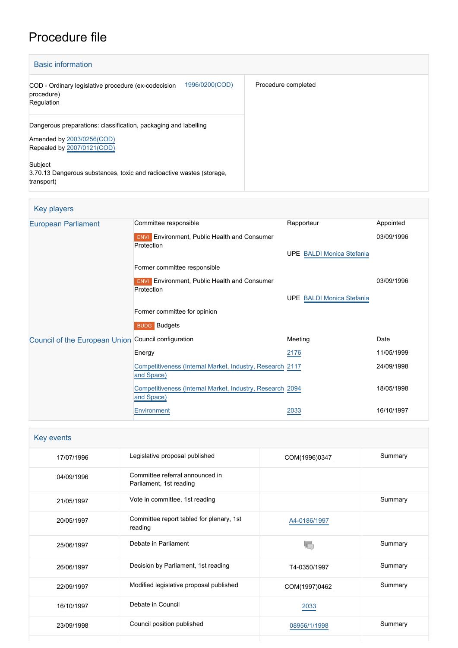# Procedure file

| <b>Basic information</b>                                                                                                   |                     |
|----------------------------------------------------------------------------------------------------------------------------|---------------------|
| 1996/0200(COD)<br>COD - Ordinary legislative procedure (ex-codecision<br>procedure)<br>Regulation                          | Procedure completed |
| Dangerous preparations: classification, packaging and labelling<br>Amended by 2003/0256(COD)<br>Repealed by 2007/0121(COD) |                     |
| Subject<br>3.70.13 Dangerous substances, toxic and radioactive wastes (storage,<br>transport)                              |                     |

## Key players

| European Parliament                                 | Committee responsible                                                   | Rapporteur                       | Appointed  |
|-----------------------------------------------------|-------------------------------------------------------------------------|----------------------------------|------------|
|                                                     | <b>ENVI</b> Environment, Public Health and Consumer<br>Protection       |                                  | 03/09/1996 |
|                                                     |                                                                         | <b>UPE BALDI Monica Stefania</b> |            |
|                                                     | Former committee responsible                                            |                                  |            |
|                                                     | <b>ENVI</b> Environment, Public Health and Consumer<br>Protection       |                                  | 03/09/1996 |
|                                                     |                                                                         | <b>UPE BALDI Monica Stefania</b> |            |
|                                                     | Former committee for opinion                                            |                                  |            |
|                                                     | <b>BUDG</b> Budgets                                                     |                                  |            |
| Council of the European Union Council configuration |                                                                         | Meeting                          | Date       |
|                                                     | Energy                                                                  | 2176                             | 11/05/1999 |
|                                                     | Competitiveness (Internal Market, Industry, Research 2117<br>and Space) |                                  | 24/09/1998 |
|                                                     | Competitiveness (Internal Market, Industry, Research 2094<br>and Space) |                                  | 18/05/1998 |
|                                                     | Environment                                                             | 2033                             | 16/10/1997 |

| Key events |                                                            |               |         |  |  |  |
|------------|------------------------------------------------------------|---------------|---------|--|--|--|
| 17/07/1996 | Legislative proposal published                             | COM(1996)0347 | Summary |  |  |  |
| 04/09/1996 | Committee referral announced in<br>Parliament, 1st reading |               |         |  |  |  |
| 21/05/1997 | Vote in committee, 1st reading                             |               | Summary |  |  |  |
| 20/05/1997 | Committee report tabled for plenary, 1st<br>reading        | A4-0186/1997  |         |  |  |  |
| 25/06/1997 | Debate in Parliament                                       |               | Summary |  |  |  |
| 26/06/1997 | Decision by Parliament, 1st reading                        | T4-0350/1997  | Summary |  |  |  |
| 22/09/1997 | Modified legislative proposal published                    | COM(1997)0462 | Summary |  |  |  |
| 16/10/1997 | Debate in Council                                          | 2033          |         |  |  |  |
| 23/09/1998 | Council position published                                 | 08956/1/1998  | Summary |  |  |  |
|            |                                                            |               |         |  |  |  |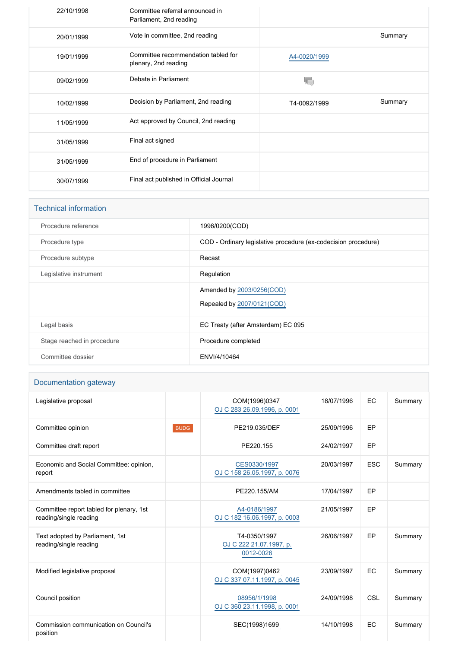| 22/10/1998 | Committee referral announced in<br>Parliament, 2nd reading  |              |         |
|------------|-------------------------------------------------------------|--------------|---------|
| 20/01/1999 | Vote in committee, 2nd reading                              |              | Summary |
| 19/01/1999 | Committee recommendation tabled for<br>plenary, 2nd reading | A4-0020/1999 |         |
| 09/02/1999 | Debate in Parliament                                        |              |         |
|            |                                                             |              |         |
| 10/02/1999 | Decision by Parliament, 2nd reading                         | T4-0092/1999 | Summary |
| 11/05/1999 | Act approved by Council, 2nd reading                        |              |         |
| 31/05/1999 | Final act signed                                            |              |         |
| 31/05/1999 | End of procedure in Parliament                              |              |         |

| <b>Technical information</b> |                                                                |
|------------------------------|----------------------------------------------------------------|
| Procedure reference          | 1996/0200(COD)                                                 |
| Procedure type               | COD - Ordinary legislative procedure (ex-codecision procedure) |
| Procedure subtype            | Recast                                                         |
| Legislative instrument       | Regulation                                                     |
|                              | Amended by 2003/0256(COD)                                      |
|                              | Repealed by 2007/0121(COD)                                     |
| Legal basis                  | EC Treaty (after Amsterdam) EC 095                             |
| Stage reached in procedure   | Procedure completed                                            |
| Committee dossier            | ENVI/4/10464                                                   |

#### Documentation gateway

| Legislative proposal                                               |             | COM(1996)0347<br>OJ C 283 26.09.1996, p. 0001        | 18/07/1996 | EC         | Summary |
|--------------------------------------------------------------------|-------------|------------------------------------------------------|------------|------------|---------|
| Committee opinion                                                  | <b>BUDG</b> | PE219.035/DEF                                        | 25/09/1996 | EP         |         |
| Committee draft report                                             |             | PE220.155                                            | 24/02/1997 | EP         |         |
| Economic and Social Committee: opinion,<br>report                  |             | CES0330/1997<br>OJ C 158 26.05.1997, p. 0076         | 20/03/1997 | <b>ESC</b> | Summary |
| Amendments tabled in committee                                     |             | PE220.155/AM                                         | 17/04/1997 | EP         |         |
| Committee report tabled for plenary, 1st<br>reading/single reading |             | A4-0186/1997<br>OJ C 182 16.06.1997, p. 0003         | 21/05/1997 | EP         |         |
| Text adopted by Parliament, 1st<br>reading/single reading          |             | T4-0350/1997<br>OJ C 222 21.07.1997, p.<br>0012-0026 | 26/06/1997 | EP         | Summary |
| Modified legislative proposal                                      |             | COM(1997)0462<br>OJ C 337 07.11.1997, p. 0045        | 23/09/1997 | EC         | Summary |
| Council position                                                   |             | 08956/1/1998<br>OJ C 360 23.11.1998, p. 0001         | 24/09/1998 | CSL        | Summary |
| Commission communication on Council's<br>position                  |             | SEC(1998)1699                                        | 14/10/1998 | EC         | Summary |
|                                                                    |             |                                                      |            |            |         |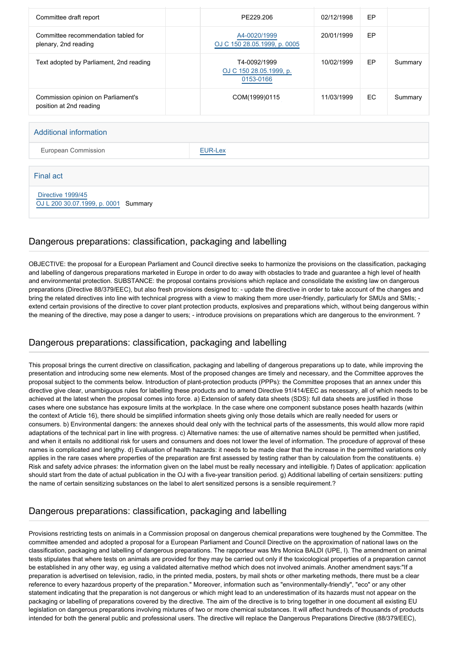| Committee draft report                                        |  | PE229.206                                            | 02/12/1998 | EP  |         |
|---------------------------------------------------------------|--|------------------------------------------------------|------------|-----|---------|
| Committee recommendation tabled for<br>plenary, 2nd reading   |  | A4-0020/1999<br>OJ C 150 28.05.1999, p. 0005         | 20/01/1999 | EP  |         |
| Text adopted by Parliament, 2nd reading                       |  | T4-0092/1999<br>OJ C 150 28.05.1999, p.<br>0153-0166 | 10/02/1999 | EP  | Summary |
| Commission opinion on Parliament's<br>position at 2nd reading |  | COM(1999)0115                                        | 11/03/1999 | EC. | Summary |
|                                                               |  |                                                      |            |     |         |
| <b>Additional information</b>                                 |  |                                                      |            |     |         |
| European Commission                                           |  | <b>EUR-Lex</b>                                       |            |     |         |

Final act

 [Directive 1999/45](https://eur-lex.europa.eu/smartapi/cgi/sga_doc?smartapi!celexplus!prod!CELEXnumdoc&lg=EN&numdoc=31999L0045)

[OJ L 200 30.07.1999, p. 0001](https://eur-lex.europa.eu/JOHtml.do?uri=OJ:L:1999:200:SOM:EN:HTML) Summary

#### Dangerous preparations: classification, packaging and labelling

OBJECTIVE: the proposal for a European Parliament and Council directive seeks to harmonize the provisions on the classification, packaging and labelling of dangerous preparations marketed in Europe in order to do away with obstacles to trade and guarantee a high level of health and environmental protection. SUBSTANCE: the proposal contains provisions which replace and consolidate the existing law on dangerous preparations (Directive 88/379/EEC), but also fresh provisions designed to: - update the directive in order to take account of the changes and bring the related directives into line with technical progress with a view to making them more user-friendly, particularly for SMUs and SMIs; extend certain provisions of the directive to cover plant protection products, explosives and preparations which, without being dangerous within the meaning of the directive, may pose a danger to users; - introduce provisions on preparations which are dangerous to the environment. ?

## Dangerous preparations: classification, packaging and labelling

This proposal brings the current directive on classification, packaging and labelling of dangerous preparations up to date, while improving the presentation and introducing some new elements. Most of the proposed changes are timely and necessary, and the Committee approves the proposal subject to the comments below. Introduction of plant-protection products (PPPs): the Committee proposes that an annex under this directive give clear, unambiguous rules for labelling these products and to amend Directive 91/414/EEC as necessary, all of which needs to be achieved at the latest when the proposal comes into force. a) Extension of safety data sheets (SDS): full data sheets are justified in those cases where one substance has exposure limits at the workplace. In the case where one component substance poses health hazards (within the context of Article 16), there should be simplified information sheets giving only those details which are really needed for users or consumers. b) Environmental dangers: the annexes should deal only with the technical parts of the assessments, this would allow more rapid adaptations of the technical part in line with progress. c) Alternative names: the use of alternative names should be permitted when justified, and when it entails no additional risk for users and consumers and does not lower the level of information. The procedure of approval of these names is complicated and lengthy. d) Evaluation of health hazards: it needs to be made clear that the increase in the permitted variations only applies in the rare cases where properties of the preparation are first assessed by testing rather than by calculation from the constituents. e) Risk and safety advice phrases: the information given on the label must be really necessary and intelligible. f) Dates of application: application should start from the date of actual publication in the OJ with a five-year transition period. g) Additional labelling of certain sensitizers: putting the name of certain sensitizing substances on the label to alert sensitized persons is a sensible requirement.?

## Dangerous preparations: classification, packaging and labelling

Provisions restricting tests on animals in a Commission proposal on dangerous chemical preparations were toughened by the Committee. The committee amended and adopted a proposal for a European Parliament and Council Directive on the approximation of national laws on the classification, packaging and labelling of dangerous preparations. The rapporteur was Mrs Monica BALDI (UPE, I). The amendment on animal tests stipulates that where tests on animals are provided for they may be carried out only if the toxicological properties of a preparation cannot be established in any other way, eg using a validated alternative method which does not involved animals. Another amendment says:"If a preparation is advertised on television, radio, in the printed media, posters, by mail shots or other marketing methods, there must be a clear reference to every hazardous property of the preparation." Moreover, information such as "environmentally-friendly", "eco" or any other statement indicating that the preparation is not dangerous or which might lead to an underestimation of its hazards must not appear on the packaging or labelling of preparations covered by the directive. The aim of the directive is to bring together in one document all existing EU legislation on dangerous preparations involving mixtures of two or more chemical substances. It will affect hundreds of thousands of products intended for both the general public and professional users. The directive will replace the Dangerous Preparations Directive (88/379/EEC),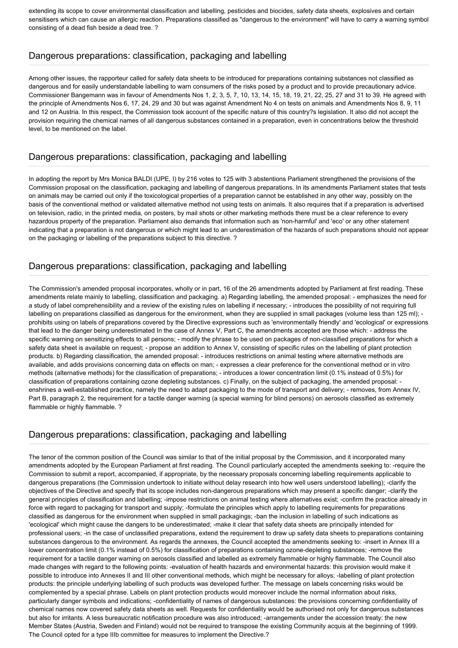extending its scope to cover environmental classification and labelling, pesticides and biocides, safety data sheets, explosives and certain sensitisers which can cause an allergic reaction. Preparations classified as "dangerous to the environment" will have to carry a warning symbol consisting of a dead fish beside a dead tree. ?

#### Dangerous preparations: classification, packaging and labelling

Among other issues, the rapporteur called for safety data sheets to be introduced for preparations containing substances not classified as dangerous and for easily understandable labelling to warn consumers of the risks posed by a product and to provide precautionary advice. Commissioner Bangemann was in favour of Amendments Nos 1, 2, 3, 5, 7, 10, 13, 14, 15, 18, 19, 21, 22, 25, 27 and 31 to 39. He agreed with the principle of Amendments Nos 6, 17, 24, 29 and 30 but was against Amendment No 4 on tests on animals and Amendments Nos 8, 9, 11 and 12 on Austria. In this respect, the Commission took account of the specific nature of this country?s legislation. It also did not accept the provision requiring the chemical names of all dangerous substances contained in a preparation, even in concentrations below the threshold level, to be mentioned on the label.

#### Dangerous preparations: classification, packaging and labelling

In adopting the report by Mrs Monica BALDI (UPE, I) by 216 votes to 125 with 3 abstentions Parliament strengthened the provisions of the Commission proposal on the classification, packaging and labelling of dangerous preparations. In its amendments Parliament states that tests on animals may be carried out only if the toxicological properties of a preparation cannot be established in any other way, possibly on the basis of the conventional method or validated alternative method not using tests on animals. It also requires that if a preparation is advertised on television, radio, in the printed media, on posters, by mail shots or other marketing methods there must be a clear reference to every hazardous property of the preparation. Parliament also demands that information such as 'non-harmful' and 'eco' or any other statement indicating that a preparation is not dangerous or which might lead to an underestimation of the hazards of such preparations should not appear on the packaging or labelling of the preparations subject to this directive. ?

#### Dangerous preparations: classification, packaging and labelling

The Commission's amended proposal incorporates, wholly or in part, 16 of the 26 amendments adopted by Parliament at first reading. These amendments relate mainly to labelling, classification and packaging. a) Regarding labelling, the amended proposal: - emphasizes the need for a study of label comprehensibility and a review of the existing rules on labelling if necessary; - introduces the possibility of not requiring full labelling on preparations classified as dangerous for the environment, when they are supplied in small packages (volume less than 125 ml); prohibits using on labels of preparations covered by the Directive expressions such as 'environmentally friendly' and 'ecological' or expressions that lead to the danger being underestimated In the case of Annex V, Part C, the amendments accepted are those which: - address the specific warning on sensitizing effects to all persons; - modify the phrase to be used on packages of non-classified preparations for which a safety data sheet is available on request; - propose an addition to Annex V, consisting of specific rules on the labelling of plant protection products. b) Regarding classification, the amended proposal: - introduces restrictions on animal testing where alternative methods are available, and adds provisions concerning data on effects on man; - expresses a clear preference for the conventional method or in vitro methods (alternative methods) for the classification of preparations; - introduces a lower concentration limit (0.1% instead of 0.5%) for classification of preparations containing ozone depleting substances. c) Finally, on the subject of packaging, the amended proposal: enshrines a well-established practice, namely the need to adapt packaging to the mode of transport and delivery; - removes, from Annex IV, Part B, paragraph 2, the requirement for a tactile danger warning (a special warning for blind persons) on aerosols classified as extremely flammable or highly flammable. ?

#### Dangerous preparations: classification, packaging and labelling

The tenor of the common position of the Council was similar to that of the initial proposal by the Commission, and it incorporated many amendments adopted by the European Parliament at first reading. The Council particularly accepted the amendments seeking to: -require the Commission to submit a report, accompanied, if appropriate, by the necessary proposals concerning labelling requirements applicable to dangerous preparations (the Commission undertook to initiate without delay research into how well users understood labelling); -clarify the objectives of the Directive and specify that its scope includes non-dangerous preparations which may present a specific danger; -clarify the general principles of classification and labelling; -impose restrictions on animal testing where alternatives exist; -confirm the practice already in force with regard to packaging for transport and supply; -formulate the principles which apply to labelling requirements for preparations classified as dangerous for the environment when supplied in small packagings; -ban the inclusion in labelling of such indications as 'ecological' which might cause the dangers to be underestimated; -make it clear that safety data sheets are principally intended for professional users; -in the case of unclassified preparations, extend the requirement to draw up safety data sheets to preparations containing substances dangerous to the environment. As regards the annexes, the Council accepted the amendments seeking to: -insert in Annex III a lower concentration limit (0.1% instead of 0.5%) for classification of preparations containing ozone-depleting substances; -remove the requirement for a tactile danger warning on aerosols classified and labelled as extremely flammable or highly flammable. The Council also made changes with regard to the following points: -evaluation of health hazards and environmental hazards: this provision would make it possible to introduce into Annexes II and III other conventional methods, which might be necessary for alloys; -labelling of plant protection products: the principle underlying labelling of such products was developed further. The message on labels concerning risks would be complemented by a special phrase. Labels on plant protection products would moreover include the normal information about risks, particularly danger symbols and indications; -confidentiality of names of dangerous substances: the provisions concerning confidentiality of chemical names now covered safety data sheets as well. Requests for confidentiality would be authorised not only for dangerous substances but also for irritants. A less bureaucratic notification procedure was also introduced; -arrangements under the accession treaty: the new Member States (Austria, Sweden and Finland) would not be required to transpose the existing Community acquis at the beginning of 1999. The Council opted for a type IIIb committee for measures to implement the Directive.?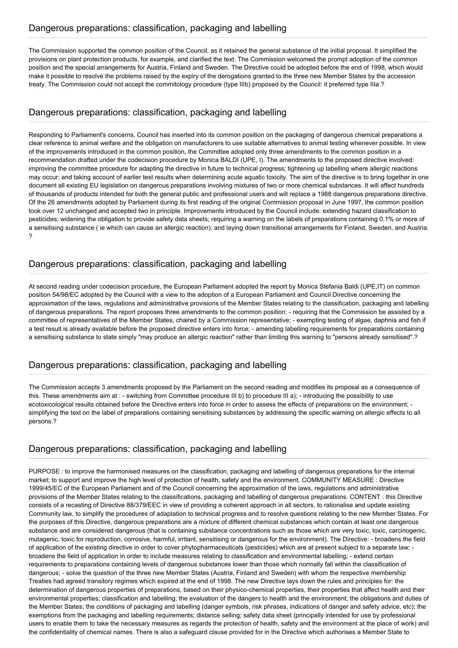The Commission supported the common position of the Council, as it retained the general substance of the initial proposal. It simplified the provisions on plant protection products, for example, and clarified the text. The Commission welcomed the prompt adoption of the common position and the special arrangements for Austria, Finland and Sweden. The Directive could be adopted before the end of 1998, which would make it possible to resolve the problems raised by the expiry of the derogations granted to the three new Member States by the accession treaty. The Commission could not accept the commitology procedure (type IIIb) proposed by the Council: it preferred type IIIa.?

## Dangerous preparations: classification, packaging and labelling

Responding to Parliament's concerns, Council has inserted into its common position on the packaging of dangerous chemical preparations a clear reference to animal welfare and the obligation on manufacturers to use suitable alternatives to animal testing whenever possible. In view of the improvements introduced in the common position, the Committee adopted only three amendments to the common position in a recommendation drafted under the codecision procedure by Monica BALDI (UPE, I). The amendments to the proposed directive involved: improving the committee procedure for adapting the directive in future to technical progress; tightening up labelling where allergic reactions may occur; and taking account of earlier test results when determining acute aquatic toxicity. The aim of the directive is to bring together in one document all existing EU legislation on dangerous preparations involving mixtures of two or more chemical substances. It will affect hundreds of thousands of products intended for both the general public and professional users and will replace a 1988 dangerous preparations directive. Of the 26 amendments adopted by Parliament during its first reading of the original Commission proposal in June 1997, the common position took over 12 unchanged and accepted two in principle. Improvements introduced by the Council include: extending hazard classification to pesticides; widening the obligation to provide safety data sheets; requiring a warning on the labels of preparations containing 0.1% or more of a sensitising substance ( ie which can cause an allergic reaction); and laying down transitional arrangements for Finland, Sweden, and Austria. ?

## Dangerous preparations: classification, packaging and labelling

At second reading under codecision procedure, the European Parliament adopted the report by Monica Stefania Baldi (UPE,IT) on common position 54/98/EC adopted by the Council with a view to the adoption of a European Parliament and Council Directive concerning the approximation of the laws, regulations and administrative provisions of the Member States relating to the classification, packaging and labelling of dangerous preparations. The report proposes three amendments to the common position: - requiring that the Commission be assisted by a committee of representatives of the Member States, chaired by a Commission representative; - exempting testing of algae, daphnia and fish if a test result is already available before the proposed directive enters into force; - amending labelling requirements for preparations containing a sensitising substance to state simply "may produce an allergic reaction" rather than limiting this warning to "persons already sensitised".?

#### Dangerous preparations: classification, packaging and labelling

The Commission accepts 3 amendments proposed by the Parliament on the second reading and modifies its proposal as a consequence of this. These amendments aim at : - switching from Committee procedure III b) to procedure III a); - introducing the possibility to use ecotoxicological results obtained before the Directive enters into force in order to assess the effects of preparations on the environment; simplifying the text on the label of preparations containing sensitising substances by addressing the specific warning on allergic effects to all persons.?

## Dangerous preparations: classification, packaging and labelling

PURPOSE : to improve the harmonised measures on the classification, packaging and labelling of dangerous preparations for the internal market; to support and improve the high level of protection of health, safety and the environment. COMMUNITY MEASURE : Directive 1999/45/EC of the European Parliament and of the Council concerning the approximation of the laws, regulations and administrative provisions of the Member States relating to the classifications, packaging and labelling of dangerous preparations. CONTENT : this Directive consists of a recasting of Directive 88/379/EEC in view of providing a coherent approach in all sectors, to rationalise and update existing Community law, to simplify the procedures of adaptation to technical progress and to resolve questions relating to the new Member States. For the purposes of this Directive, dangerous preparations are a mixture of different chemical substances which contain at least one dangerous substance and are considered dangerous (that is containing substance concentrations such as those which are very toxic, toxic, carcinogenic, mutagenic, toxic for reproduction, corrosive, harmful, irritant, sensitising or dangerous for the environment). The Directive: - broadens the field of application of the existing directive in order to cover phytopharmaceuticals (pesticides) which are at present subject to a separate law; broadens the field of application in order to include measures relating to classification and environmental labelling; - extend certain requirements to preparations containing levels of dangerous substances lower than those which normally fall within the classification of dangerous; - solve the question of the three new Member States (Austria, Finland and Sweden) with whom the respective membership Treaties had agreed transitory regimes which expired at the end of 1998. The new Directive lays down the rules and principles for: the determination of dangerous properties of preparations, based on their physico-chemical properties, their properties that affect health and their environmental properties; classification and labelling; the evaluation of the dangers to health and the environment; the obligations and duties of the Member States; the conditions of packaging and labelling (danger symbols, risk phrases, indications of danger and safety advice, etc); the exemptions from the packaging and labelling requirements; distance selling; safety data sheet (principally intended for use by professional users to enable them to take the necessary measures as regards the protection of health, safety and the environment at the place of work) and the confidentiality of chemical names. There is also a safeguard clause provided for in the Directive which authorises a Member State to